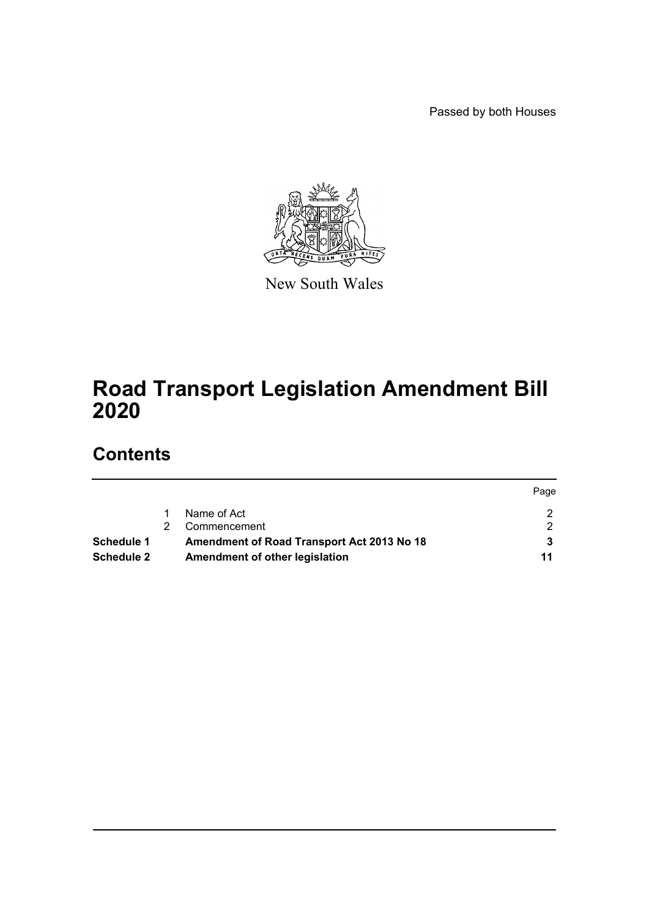Passed by both Houses



New South Wales

# **Road Transport Legislation Amendment Bill 2020**

# **Contents**

|                   |                                            | Page |
|-------------------|--------------------------------------------|------|
|                   | Name of Act                                |      |
|                   | Commencement                               |      |
| <b>Schedule 1</b> | Amendment of Road Transport Act 2013 No 18 |      |
| <b>Schedule 2</b> | Amendment of other legislation             | 11   |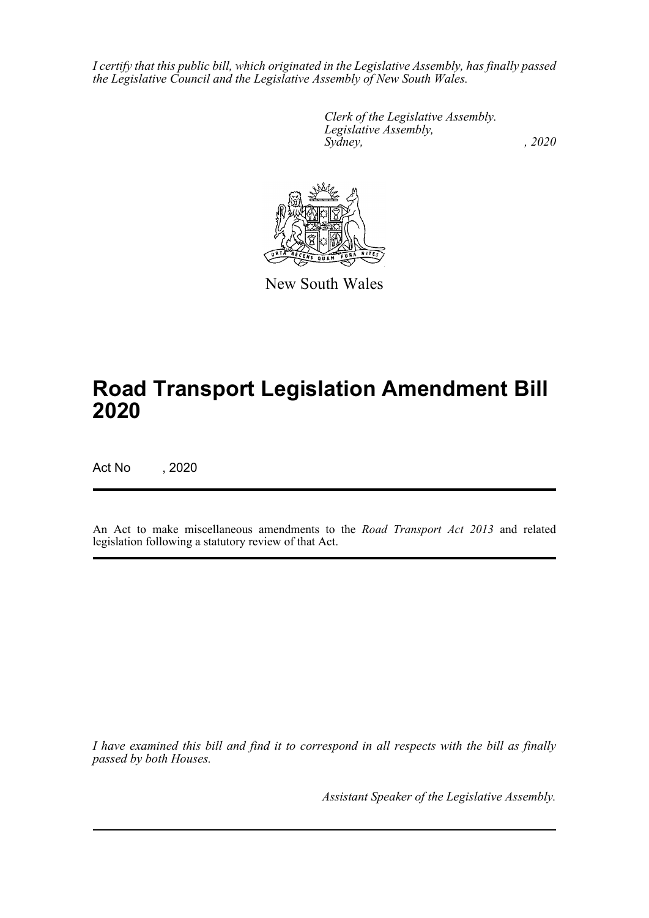*I certify that this public bill, which originated in the Legislative Assembly, has finally passed the Legislative Council and the Legislative Assembly of New South Wales.*

> *Clerk of the Legislative Assembly. Legislative Assembly, Sydney, , 2020*



New South Wales

# **Road Transport Legislation Amendment Bill 2020**

Act No , 2020

An Act to make miscellaneous amendments to the *Road Transport Act 2013* and related legislation following a statutory review of that Act.

*I have examined this bill and find it to correspond in all respects with the bill as finally passed by both Houses.*

*Assistant Speaker of the Legislative Assembly.*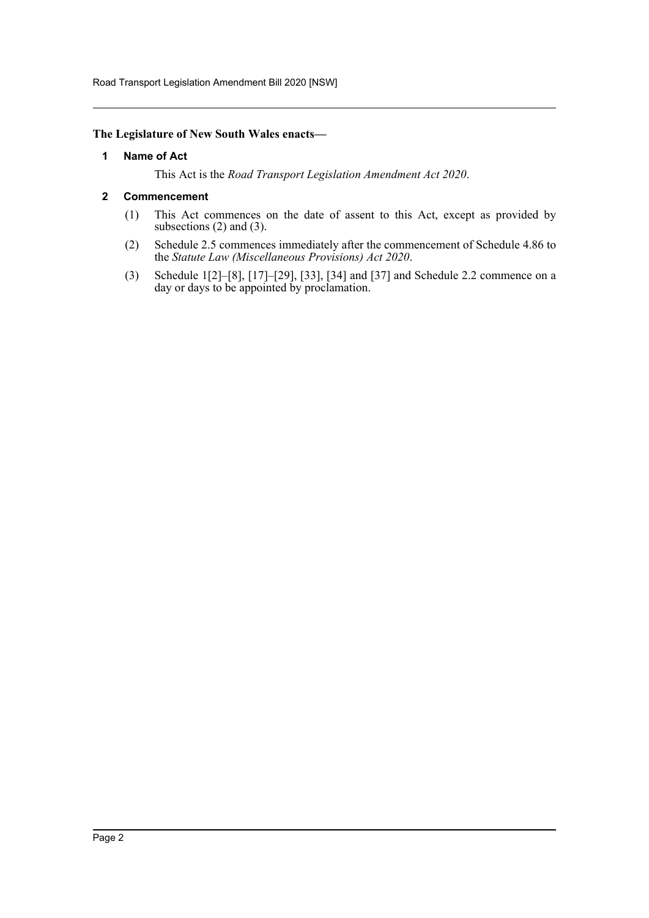Road Transport Legislation Amendment Bill 2020 [NSW]

#### <span id="page-2-0"></span>**The Legislature of New South Wales enacts—**

#### **1 Name of Act**

This Act is the *Road Transport Legislation Amendment Act 2020*.

#### <span id="page-2-1"></span>**2 Commencement**

- (1) This Act commences on the date of assent to this Act, except as provided by subsections (2) and (3).
- (2) Schedule 2.5 commences immediately after the commencement of Schedule 4.86 to the *Statute Law (Miscellaneous Provisions) Act 2020*.
- (3) Schedule 1[2]–[8], [17]–[29], [33], [34] and [37] and Schedule 2.2 commence on a day or days to be appointed by proclamation.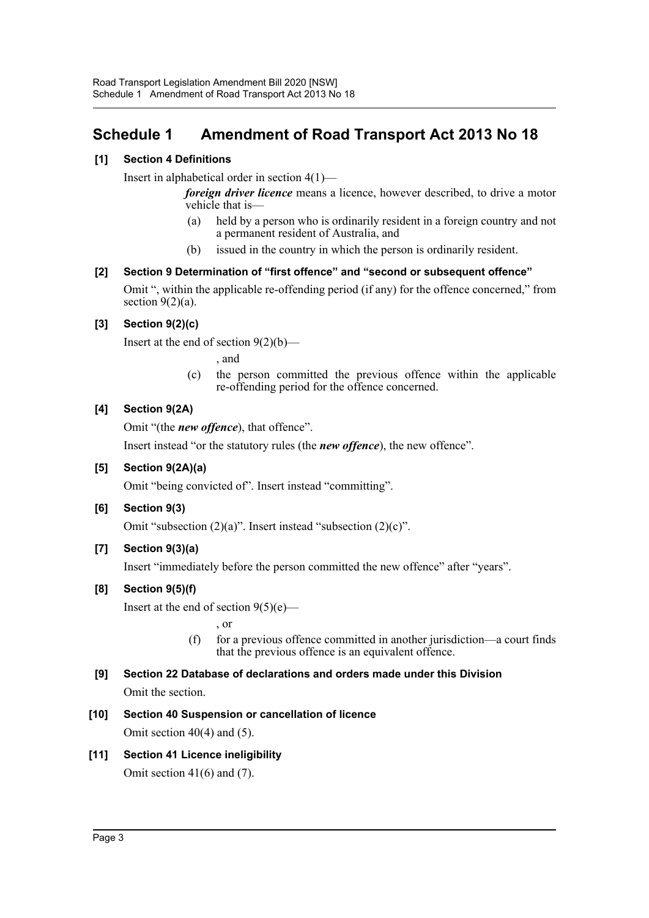## <span id="page-3-0"></span>**Schedule 1 Amendment of Road Transport Act 2013 No 18**

## **[1] Section 4 Definitions**

Insert in alphabetical order in section 4(1)—

*foreign driver licence* means a licence, however described, to drive a motor vehicle that is—

- (a) held by a person who is ordinarily resident in a foreign country and not a permanent resident of Australia, and
- (b) issued in the country in which the person is ordinarily resident.

## **[2] Section 9 Determination of "first offence" and "second or subsequent offence"**

Omit ", within the applicable re-offending period (if any) for the offence concerned," from section  $9(2)(a)$ .

## **[3] Section 9(2)(c)**

Insert at the end of section 9(2)(b)—

, and

(c) the person committed the previous offence within the applicable re-offending period for the offence concerned.

## **[4] Section 9(2A)**

Omit "(the *new offence*), that offence".

Insert instead "or the statutory rules (the *new offence*), the new offence".

## **[5] Section 9(2A)(a)**

Omit "being convicted of". Insert instead "committing".

## **[6] Section 9(3)**

Omit "subsection (2)(a)". Insert instead "subsection (2)(c)".

## **[7] Section 9(3)(a)**

Insert "immediately before the person committed the new offence" after "years".

## **[8] Section 9(5)(f)**

Insert at the end of section  $9(5)(e)$ —

, or

(f) for a previous offence committed in another jurisdiction—a court finds that the previous offence is an equivalent offence.

# **[9] Section 22 Database of declarations and orders made under this Division**

Omit the section.

- **[10] Section 40 Suspension or cancellation of licence** Omit section 40(4) and (5).
- **[11] Section 41 Licence ineligibility** Omit section 41(6) and (7).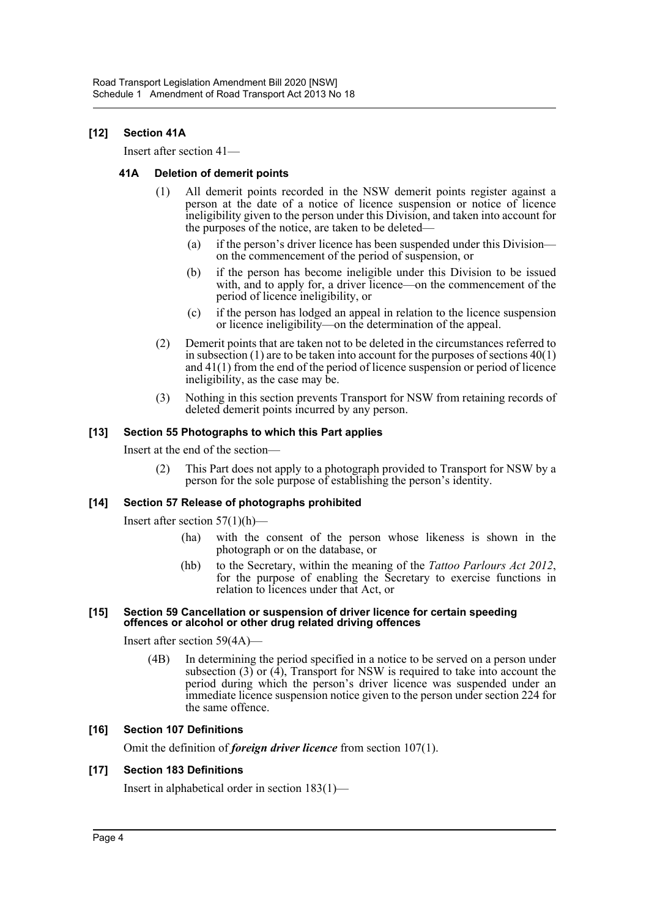### **[12] Section 41A**

Insert after section 41—

#### **41A Deletion of demerit points**

- (1) All demerit points recorded in the NSW demerit points register against a person at the date of a notice of licence suspension or notice of licence ineligibility given to the person under this Division, and taken into account for the purposes of the notice, are taken to be deleted—
	- (a) if the person's driver licence has been suspended under this Division on the commencement of the period of suspension, or
	- (b) if the person has become ineligible under this Division to be issued with, and to apply for, a driver licence—on the commencement of the period of licence ineligibility, or
	- (c) if the person has lodged an appeal in relation to the licence suspension or licence ineligibility—on the determination of the appeal.
- (2) Demerit points that are taken not to be deleted in the circumstances referred to in subsection (1) are to be taken into account for the purposes of sections 40(1) and 41(1) from the end of the period of licence suspension or period of licence ineligibility, as the case may be.
- (3) Nothing in this section prevents Transport for NSW from retaining records of deleted demerit points incurred by any person.

#### **[13] Section 55 Photographs to which this Part applies**

Insert at the end of the section—

(2) This Part does not apply to a photograph provided to Transport for NSW by a person for the sole purpose of establishing the person's identity.

#### **[14] Section 57 Release of photographs prohibited**

Insert after section  $57(1)(h)$ —

- (ha) with the consent of the person whose likeness is shown in the photograph or on the database, or
- (hb) to the Secretary, within the meaning of the *Tattoo Parlours Act 2012*, for the purpose of enabling the Secretary to exercise functions in relation to licences under that Act, or

#### **[15] Section 59 Cancellation or suspension of driver licence for certain speeding offences or alcohol or other drug related driving offences**

Insert after section 59(4A)—

(4B) In determining the period specified in a notice to be served on a person under subsection  $(3)$  or  $(4)$ , Transport for NSW is required to take into account the period during which the person's driver licence was suspended under an immediate licence suspension notice given to the person under section 224 for the same offence.

#### **[16] Section 107 Definitions**

Omit the definition of *foreign driver licence* from section 107(1).

#### **[17] Section 183 Definitions**

Insert in alphabetical order in section 183(1)—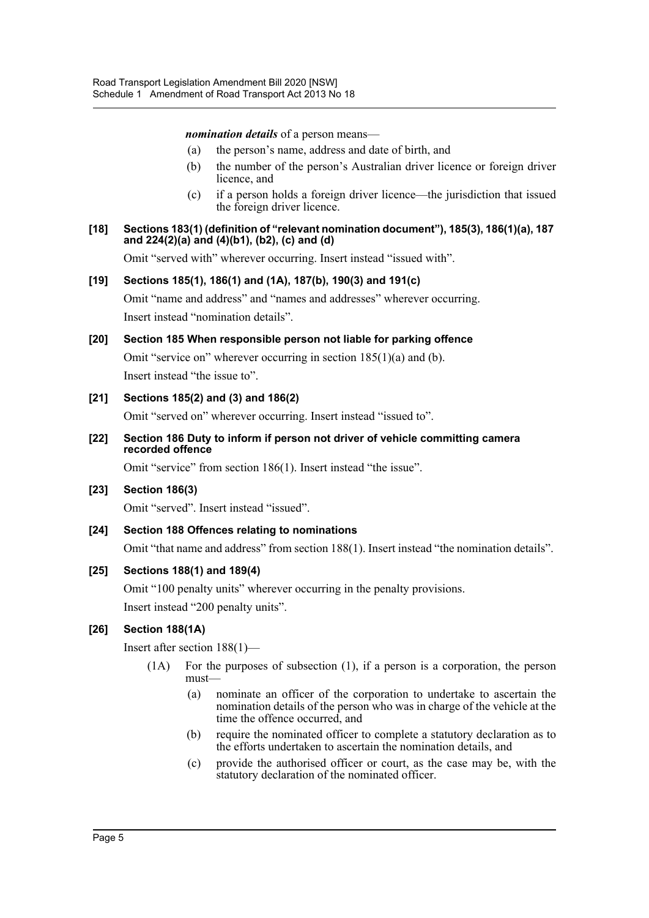*nomination details* of a person means—

- (a) the person's name, address and date of birth, and
- (b) the number of the person's Australian driver licence or foreign driver licence, and
- (c) if a person holds a foreign driver licence—the jurisdiction that issued the foreign driver licence.

#### **[18] Sections 183(1) (definition of "relevant nomination document"), 185(3), 186(1)(a), 187 and 224(2)(a) and (4)(b1), (b2), (c) and (d)**

Omit "served with" wherever occurring. Insert instead "issued with".

#### **[19] Sections 185(1), 186(1) and (1A), 187(b), 190(3) and 191(c)**

Omit "name and address" and "names and addresses" wherever occurring. Insert instead "nomination details".

## **[20] Section 185 When responsible person not liable for parking offence**

Omit "service on" wherever occurring in section 185(1)(a) and (b).

Insert instead "the issue to".

## **[21] Sections 185(2) and (3) and 186(2)**

Omit "served on" wherever occurring. Insert instead "issued to".

**[22] Section 186 Duty to inform if person not driver of vehicle committing camera recorded offence**

Omit "service" from section 186(1). Insert instead "the issue".

**[23] Section 186(3)**

Omit "served". Insert instead "issued".

## **[24] Section 188 Offences relating to nominations**

Omit "that name and address" from section 188(1). Insert instead "the nomination details".

#### **[25] Sections 188(1) and 189(4)**

Omit "100 penalty units" wherever occurring in the penalty provisions. Insert instead "200 penalty units".

## **[26] Section 188(1A)**

Insert after section 188(1)—

- (1A) For the purposes of subsection (1), if a person is a corporation, the person must—
	- (a) nominate an officer of the corporation to undertake to ascertain the nomination details of the person who was in charge of the vehicle at the time the offence occurred, and
	- (b) require the nominated officer to complete a statutory declaration as to the efforts undertaken to ascertain the nomination details, and
	- (c) provide the authorised officer or court, as the case may be, with the statutory declaration of the nominated officer.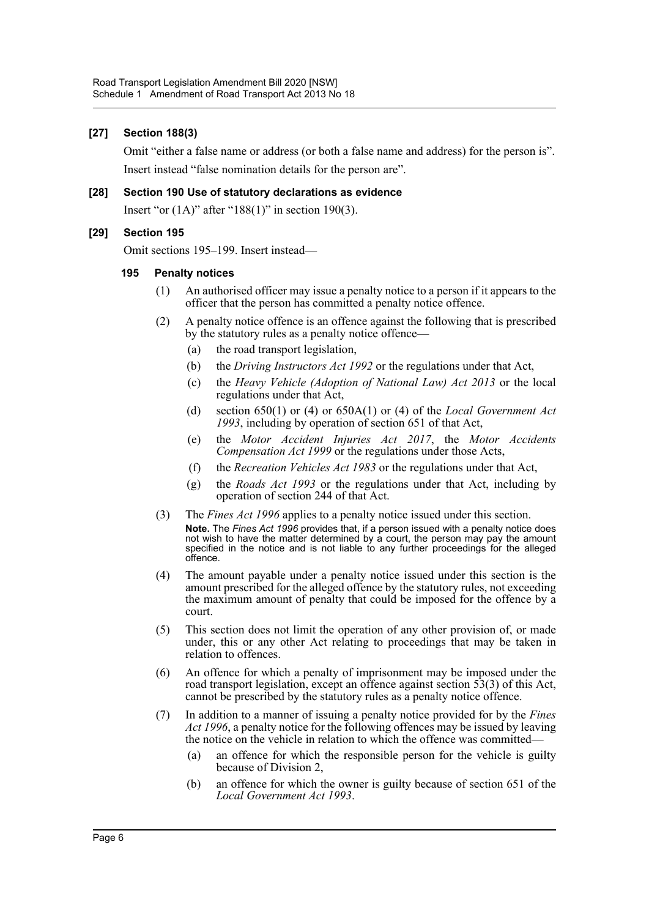#### **[27] Section 188(3)**

Omit "either a false name or address (or both a false name and address) for the person is". Insert instead "false nomination details for the person are".

#### **[28] Section 190 Use of statutory declarations as evidence**

Insert "or  $(1A)$ " after "188 $(1)$ " in section 190 $(3)$ .

#### **[29] Section 195**

Omit sections 195–199. Insert instead—

#### **195 Penalty notices**

- (1) An authorised officer may issue a penalty notice to a person if it appears to the officer that the person has committed a penalty notice offence.
- (2) A penalty notice offence is an offence against the following that is prescribed by the statutory rules as a penalty notice offence—
	- (a) the road transport legislation,
	- (b) the *Driving Instructors Act 1992* or the regulations under that Act,
	- (c) the *Heavy Vehicle (Adoption of National Law) Act 2013* or the local regulations under that Act,
	- (d) section 650(1) or (4) or 650A(1) or (4) of the *Local Government Act 1993*, including by operation of section 651 of that Act,
	- (e) the *Motor Accident Injuries Act 2017*, the *Motor Accidents Compensation Act 1999* or the regulations under those Acts,
	- (f) the *Recreation Vehicles Act 1983* or the regulations under that Act,
	- (g) the *Roads Act 1993* or the regulations under that Act, including by operation of section 244 of that Act.
- (3) The *Fines Act 1996* applies to a penalty notice issued under this section. **Note.** The *Fines Act 1996* provides that, if a person issued with a penalty notice does not wish to have the matter determined by a court, the person may pay the amount specified in the notice and is not liable to any further proceedings for the alleged offence.
- (4) The amount payable under a penalty notice issued under this section is the amount prescribed for the alleged offence by the statutory rules, not exceeding the maximum amount of penalty that could be imposed for the offence by a court.
- (5) This section does not limit the operation of any other provision of, or made under, this or any other Act relating to proceedings that may be taken in relation to offences.
- (6) An offence for which a penalty of imprisonment may be imposed under the road transport legislation, except an offence against section 53(3) of this Act, cannot be prescribed by the statutory rules as a penalty notice offence.
- (7) In addition to a manner of issuing a penalty notice provided for by the *Fines Act 1996*, a penalty notice for the following offences may be issued by leaving the notice on the vehicle in relation to which the offence was committed—
	- (a) an offence for which the responsible person for the vehicle is guilty because of Division 2,
	- (b) an offence for which the owner is guilty because of section 651 of the *Local Government Act 1993*.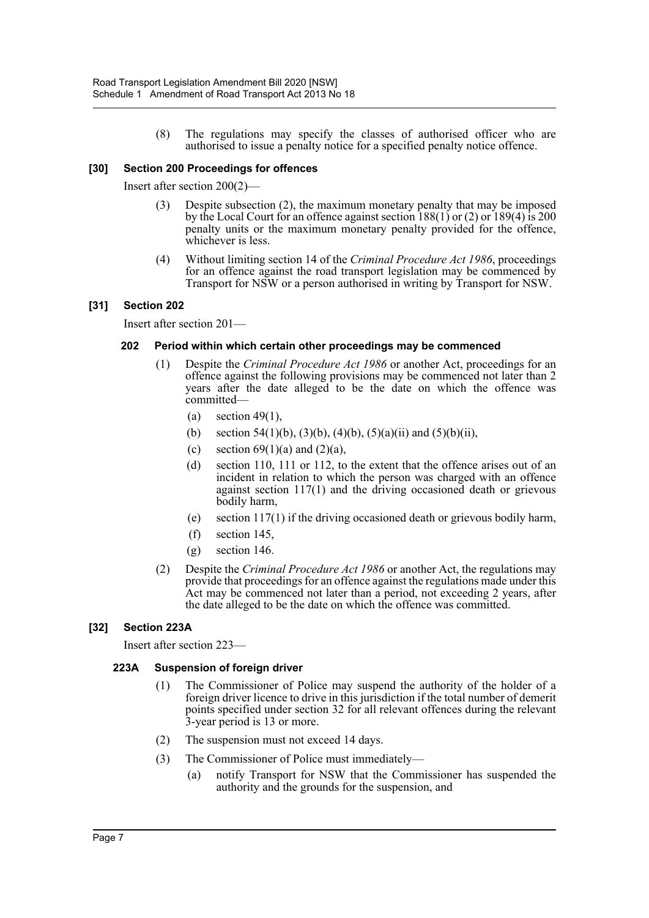(8) The regulations may specify the classes of authorised officer who are authorised to issue a penalty notice for a specified penalty notice offence.

#### **[30] Section 200 Proceedings for offences**

Insert after section 200(2)—

- Despite subsection (2), the maximum monetary penalty that may be imposed by the Local Court for an offence against section 188(1) or (2) or 189(4) is 200 penalty units or the maximum monetary penalty provided for the offence, whichever is less.
- (4) Without limiting section 14 of the *Criminal Procedure Act 1986*, proceedings for an offence against the road transport legislation may be commenced by Transport for NSW or a person authorised in writing by Transport for NSW.

#### **[31] Section 202**

Insert after section 201—

#### **202 Period within which certain other proceedings may be commenced**

- (1) Despite the *Criminal Procedure Act 1986* or another Act, proceedings for an offence against the following provisions may be commenced not later than 2 years after the date alleged to be the date on which the offence was committed—
	- (a) section 49(1),
	- (b) section 54(1)(b), (3)(b), (4)(b), (5)(a)(ii) and (5)(b)(ii),
	- (c) section  $69(1)(a)$  and  $(2)(a)$ ,
	- (d) section 110, 111 or 112, to the extent that the offence arises out of an incident in relation to which the person was charged with an offence against section 117(1) and the driving occasioned death or grievous bodily harm,
	- (e) section 117(1) if the driving occasioned death or grievous bodily harm,
	- (f) section 145,
	- (g) section 146.
- (2) Despite the *Criminal Procedure Act 1986* or another Act, the regulations may provide that proceedings for an offence against the regulations made under this Act may be commenced not later than a period, not exceeding 2 years, after the date alleged to be the date on which the offence was committed.

#### **[32] Section 223A**

Insert after section 223—

#### **223A Suspension of foreign driver**

- (1) The Commissioner of Police may suspend the authority of the holder of a foreign driver licence to drive in this jurisdiction if the total number of demerit points specified under section 32 for all relevant offences during the relevant 3-year period is 13 or more.
- (2) The suspension must not exceed 14 days.
- (3) The Commissioner of Police must immediately—
	- (a) notify Transport for NSW that the Commissioner has suspended the authority and the grounds for the suspension, and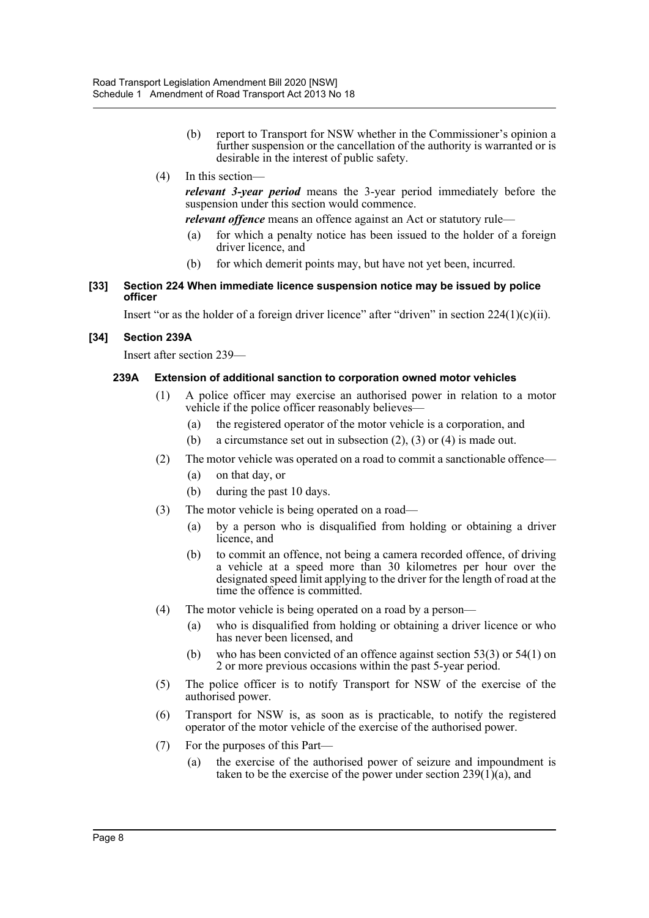- (b) report to Transport for NSW whether in the Commissioner's opinion a further suspension or the cancellation of the authority is warranted or is desirable in the interest of public safety.
- (4) In this section—

*relevant 3-year period* means the 3-year period immediately before the suspension under this section would commence.

*relevant offence* means an offence against an Act or statutory rule—

- (a) for which a penalty notice has been issued to the holder of a foreign driver licence, and
- (b) for which demerit points may, but have not yet been, incurred.
- **[33] Section 224 When immediate licence suspension notice may be issued by police officer**

Insert "or as the holder of a foreign driver licence" after "driven" in section  $224(1)(c)(ii)$ .

## **[34] Section 239A**

Insert after section 239—

#### **239A Extension of additional sanction to corporation owned motor vehicles**

- (1) A police officer may exercise an authorised power in relation to a motor vehicle if the police officer reasonably believes—
	- (a) the registered operator of the motor vehicle is a corporation, and
	- (b) a circumstance set out in subsection (2), (3) or (4) is made out.
- (2) The motor vehicle was operated on a road to commit a sanctionable offence—
	- (a) on that day, or
	- (b) during the past 10 days.
- (3) The motor vehicle is being operated on a road—
	- (a) by a person who is disqualified from holding or obtaining a driver licence, and
	- (b) to commit an offence, not being a camera recorded offence, of driving a vehicle at a speed more than 30 kilometres per hour over the designated speed limit applying to the driver for the length of road at the time the offence is committed.
- (4) The motor vehicle is being operated on a road by a person—
	- (a) who is disqualified from holding or obtaining a driver licence or who has never been licensed, and
	- (b) who has been convicted of an offence against section 53(3) or 54(1) on 2 or more previous occasions within the past 5-year period.
- (5) The police officer is to notify Transport for NSW of the exercise of the authorised power.
- (6) Transport for NSW is, as soon as is practicable, to notify the registered operator of the motor vehicle of the exercise of the authorised power.
- (7) For the purposes of this Part—
	- (a) the exercise of the authorised power of seizure and impoundment is taken to be the exercise of the power under section  $239(1)(a)$ , and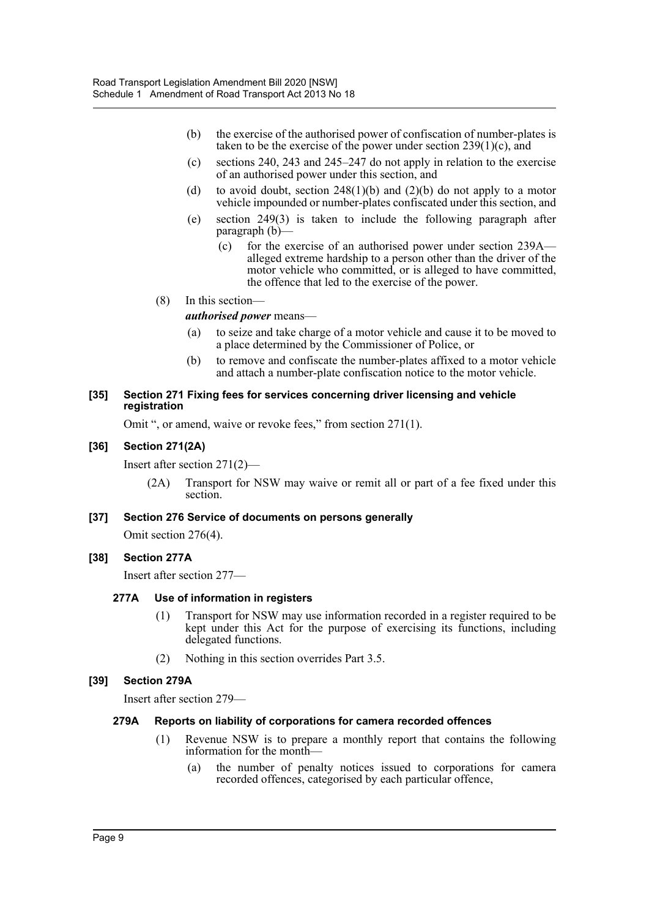- (b) the exercise of the authorised power of confiscation of number-plates is taken to be the exercise of the power under section  $239(1)(c)$ , and
- (c) sections 240, 243 and 245–247 do not apply in relation to the exercise of an authorised power under this section, and
- (d) to avoid doubt, section  $248(1)(b)$  and  $(2)(b)$  do not apply to a motor vehicle impounded or number-plates confiscated under this section, and
- (e) section 249(3) is taken to include the following paragraph after paragraph (b)—
	- (c) for the exercise of an authorised power under section 239A alleged extreme hardship to a person other than the driver of the motor vehicle who committed, or is alleged to have committed, the offence that led to the exercise of the power.
- (8) In this section—

*authorised power* means—

- (a) to seize and take charge of a motor vehicle and cause it to be moved to a place determined by the Commissioner of Police, or
- (b) to remove and confiscate the number-plates affixed to a motor vehicle and attach a number-plate confiscation notice to the motor vehicle.

#### **[35] Section 271 Fixing fees for services concerning driver licensing and vehicle registration**

Omit ", or amend, waive or revoke fees," from section 271(1).

#### **[36] Section 271(2A)**

Insert after section 271(2)—

(2A) Transport for NSW may waive or remit all or part of a fee fixed under this section.

#### **[37] Section 276 Service of documents on persons generally**

Omit section 276(4).

#### **[38] Section 277A**

Insert after section 277—

#### **277A Use of information in registers**

- (1) Transport for NSW may use information recorded in a register required to be kept under this Act for the purpose of exercising its functions, including delegated functions.
- (2) Nothing in this section overrides Part 3.5.

#### **[39] Section 279A**

Insert after section 279—

#### **279A Reports on liability of corporations for camera recorded offences**

- (1) Revenue NSW is to prepare a monthly report that contains the following information for the month—
	- (a) the number of penalty notices issued to corporations for camera recorded offences, categorised by each particular offence,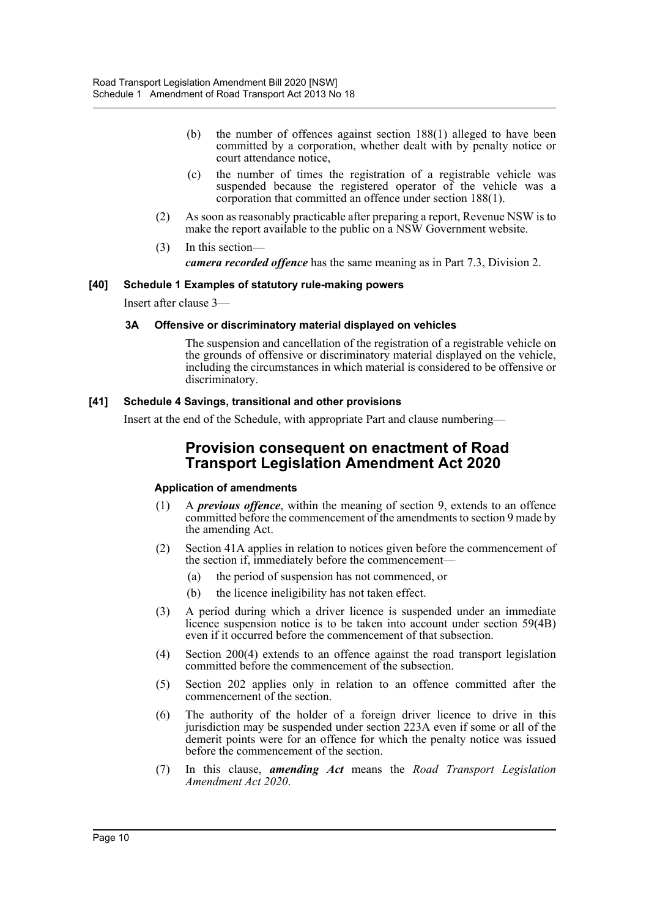- (b) the number of offences against section 188(1) alleged to have been committed by a corporation, whether dealt with by penalty notice or court attendance notice,
- (c) the number of times the registration of a registrable vehicle was suspended because the registered operator of the vehicle was a corporation that committed an offence under section 188(1).
- (2) As soon as reasonably practicable after preparing a report, Revenue NSW is to make the report available to the public on a NSW Government website.
- (3) In this section *camera recorded offence* has the same meaning as in Part 7.3, Division 2.

#### **[40] Schedule 1 Examples of statutory rule-making powers**

Insert after clause 3—

#### **3A Offensive or discriminatory material displayed on vehicles**

The suspension and cancellation of the registration of a registrable vehicle on the grounds of offensive or discriminatory material displayed on the vehicle, including the circumstances in which material is considered to be offensive or discriminatory.

#### **[41] Schedule 4 Savings, transitional and other provisions**

Insert at the end of the Schedule, with appropriate Part and clause numbering—

## **Provision consequent on enactment of Road Transport Legislation Amendment Act 2020**

## **Application of amendments**

- (1) A *previous offence*, within the meaning of section 9, extends to an offence committed before the commencement of the amendments to section 9 made by the amending Act.
- (2) Section 41A applies in relation to notices given before the commencement of the section if, immediately before the commencement—
	- (a) the period of suspension has not commenced, or
	- (b) the licence ineligibility has not taken effect.
- (3) A period during which a driver licence is suspended under an immediate licence suspension notice is to be taken into account under section 59(4B) even if it occurred before the commencement of that subsection.
- (4) Section 200(4) extends to an offence against the road transport legislation committed before the commencement of the subsection.
- (5) Section 202 applies only in relation to an offence committed after the commencement of the section.
- (6) The authority of the holder of a foreign driver licence to drive in this jurisdiction may be suspended under section 223A even if some or all of the demerit points were for an offence for which the penalty notice was issued before the commencement of the section.
- (7) In this clause, *amending Act* means the *Road Transport Legislation Amendment Act 2020*.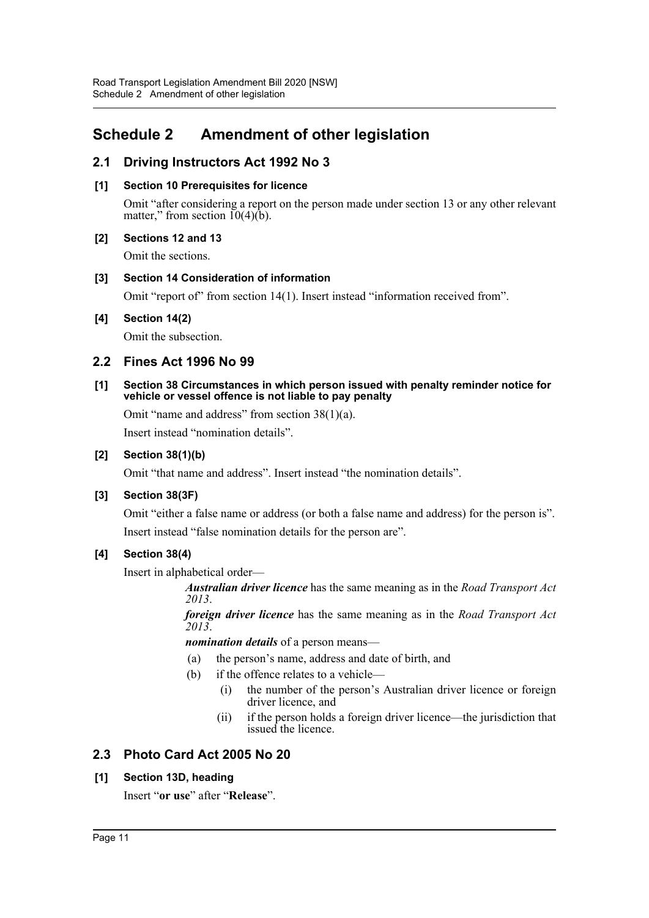## <span id="page-11-0"></span>**Schedule 2 Amendment of other legislation**

## **2.1 Driving Instructors Act 1992 No 3**

## **[1] Section 10 Prerequisites for licence**

Omit "after considering a report on the person made under section 13 or any other relevant matter," from section  $10(4)(b)$ .

## **[2] Sections 12 and 13**

Omit the sections.

## **[3] Section 14 Consideration of information**

Omit "report of" from section 14(1). Insert instead "information received from".

## **[4] Section 14(2)**

Omit the subsection.

## **2.2 Fines Act 1996 No 99**

#### **[1] Section 38 Circumstances in which person issued with penalty reminder notice for vehicle or vessel offence is not liable to pay penalty**

Omit "name and address" from section 38(1)(a).

Insert instead "nomination details".

## **[2] Section 38(1)(b)**

Omit "that name and address". Insert instead "the nomination details".

## **[3] Section 38(3F)**

Omit "either a false name or address (or both a false name and address) for the person is". Insert instead "false nomination details for the person are".

## **[4] Section 38(4)**

Insert in alphabetical order—

*Australian driver licence* has the same meaning as in the *Road Transport Act 2013*.

*foreign driver licence* has the same meaning as in the *Road Transport Act 2013*.

*nomination details* of a person means—

- (a) the person's name, address and date of birth, and
- (b) if the offence relates to a vehicle—
	- (i) the number of the person's Australian driver licence or foreign driver licence, and
	- (ii) if the person holds a foreign driver licence—the jurisdiction that issued the licence.

## **2.3 Photo Card Act 2005 No 20**

## **[1] Section 13D, heading**

Insert "**or use**" after "**Release**".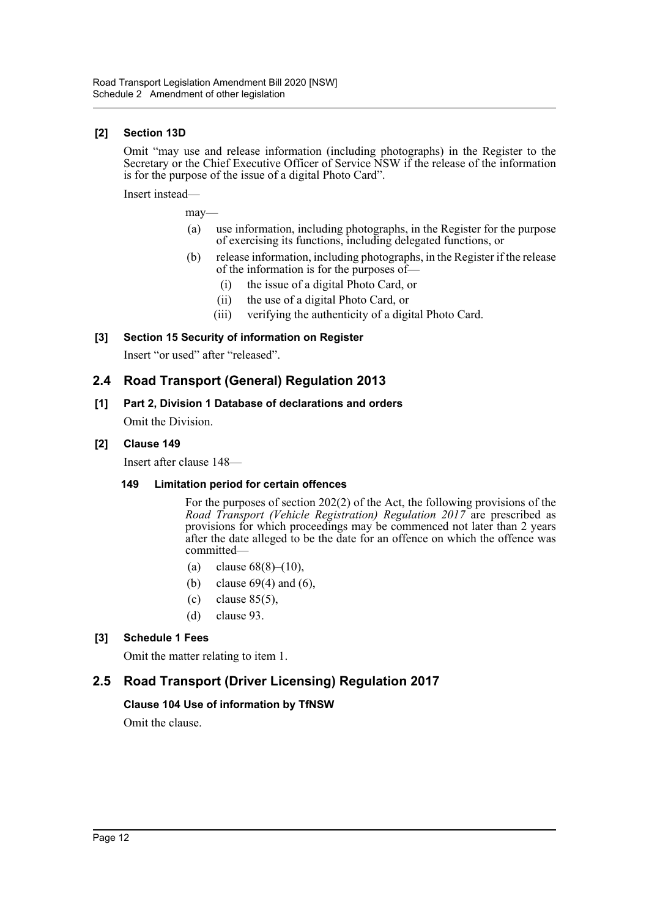### **[2] Section 13D**

Omit "may use and release information (including photographs) in the Register to the Secretary or the Chief Executive Officer of Service NSW if the release of the information is for the purpose of the issue of a digital Photo Card".

Insert instead—

may—

- (a) use information, including photographs, in the Register for the purpose of exercising its functions, including delegated functions, or
- (b) release information, including photographs, in the Register if the release of the information is for the purposes of—
	- (i) the issue of a digital Photo Card, or
	- (ii) the use of a digital Photo Card, or
	- (iii) verifying the authenticity of a digital Photo Card.

## **[3] Section 15 Security of information on Register**

Insert "or used" after "released".

## **2.4 Road Transport (General) Regulation 2013**

## **[1] Part 2, Division 1 Database of declarations and orders**

Omit the Division.

#### **[2] Clause 149**

Insert after clause 148—

#### **149 Limitation period for certain offences**

For the purposes of section 202(2) of the Act, the following provisions of the *Road Transport (Vehicle Registration) Regulation 2017* are prescribed as provisions for which proceedings may be commenced not later than 2 years after the date alleged to be the date for an offence on which the offence was committed—

- (a) clause  $68(8)–(10)$ ,
- (b) clause  $69(4)$  and  $(6)$ ,
- (c) clause 85(5),
- (d) clause 93.

## **[3] Schedule 1 Fees**

Omit the matter relating to item 1.

## **2.5 Road Transport (Driver Licensing) Regulation 2017**

#### **Clause 104 Use of information by TfNSW**

Omit the clause.